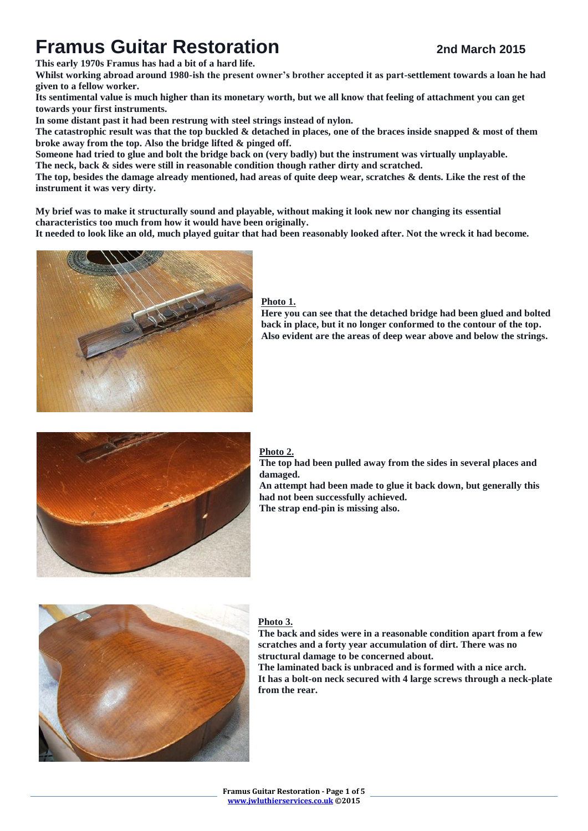# **Framus Guitar Restoration 2nd March** 2015

**This early 1970s Framus has had a bit of a hard life.**

**Whilst working abroad around 1980-ish the present owner's brother accepted it as part-settlement towards a loan he had given to a fellow worker.**

**Its sentimental value is much higher than its monetary worth, but we all know that feeling of attachment you can get towards your first instruments.**

**In some distant past it had been restrung with steel strings instead of nylon.**

**The catastrophic result was that the top buckled & detached in places, one of the braces inside snapped & most of them broke away from the top. Also the bridge lifted & pinged off.**

**Someone had tried to glue and bolt the bridge back on (very badly) but the instrument was virtually unplayable. The neck, back & sides were still in reasonable condition though rather dirty and scratched.**

**The top, besides the damage already mentioned, had areas of quite deep wear, scratches & dents. Like the rest of the instrument it was very dirty.**

**My brief was to make it structurally sound and playable, without making it look new nor changing its essential characteristics too much from how it would have been originally.**

**It needed to look like an old, much played guitar that had been reasonably looked after. Not the wreck it had become.**



## **Photo 1.**

**Here you can see that the detached bridge had been glued and bolted back in place, but it no longer conformed to the contour of the top. Also evident are the areas of deep wear above and below the strings.**



## **Photo 2.**

**The top had been pulled away from the sides in several places and damaged. An attempt had been made to glue it back down, but generally this had not been successfully achieved.**

**The strap end-pin is missing also.**



## **Photo 3.**

**The back and sides were in a reasonable condition apart from a few scratches and a forty year accumulation of dirt. There was no structural damage to be concerned about. The laminated back is unbraced and is formed with a nice arch. It has a bolt-on neck secured with 4 large screws through a neck-plate from the rear.**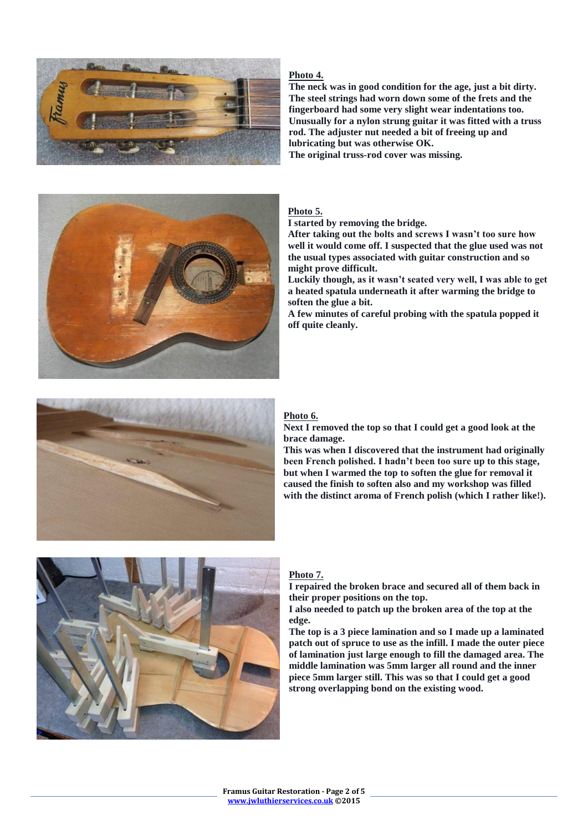

## **Photo 4.**

**The neck was in good condition for the age, just a bit dirty. The steel strings had worn down some of the frets and the fingerboard had some very slight wear indentations too. Unusually for a nylon strung guitar it was fitted with a truss rod. The adjuster nut needed a bit of freeing up and lubricating but was otherwise OK.**

**The original truss-rod cover was missing.**



#### **Photo 5.**

**I started by removing the bridge.**

**After taking out the bolts and screws I wasn't too sure how well it would come off. I suspected that the glue used was not the usual types associated with guitar construction and so might prove difficult.**

**Luckily though, as it wasn't seated very well, I was able to get a heated spatula underneath it after warming the bridge to soften the glue a bit.**

**A few minutes of careful probing with the spatula popped it off quite cleanly.**



#### **Photo 6.**

**Next I removed the top so that I could get a good look at the brace damage.**

**This was when I discovered that the instrument had originally been French polished. I hadn't been too sure up to this stage, but when I warmed the top to soften the glue for removal it caused the finish to soften also and my workshop was filled with the distinct aroma of French polish (which I rather like!).**



#### **Photo 7.**

**I repaired the broken brace and secured all of them back in their proper positions on the top.**

**I also needed to patch up the broken area of the top at the edge.**

**The top is a 3 piece lamination and so I made up a laminated patch out of spruce to use as the infill. I made the outer piece of lamination just large enough to fill the damaged area. The middle lamination was 5mm larger all round and the inner piece 5mm larger still. This was so that I could get a good strong overlapping bond on the existing wood.**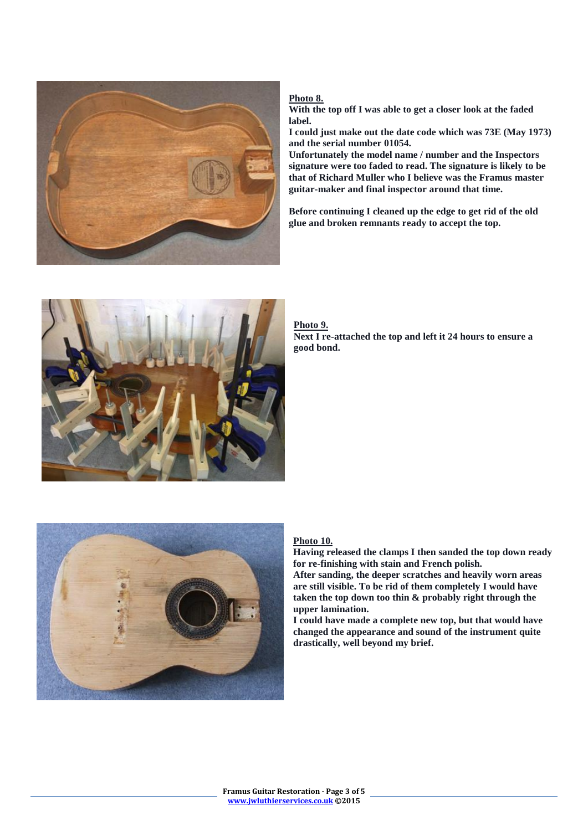

## **Photo 8.**

**With the top off I was able to get a closer look at the faded label.**

**I could just make out the date code which was 73E (May 1973) and the serial number 01054.**

**Unfortunately the model name / number and the Inspectors signature were too faded to read. The signature is likely to be that of Richard Muller who I believe was the Framus master guitar-maker and final inspector around that time.**

**Before continuing I cleaned up the edge to get rid of the old glue and broken remnants ready to accept the top.**



#### **Photo 9. Next I re-attached the top and left it 24 hours to ensure a good bond.**



# **Photo 10.**

**Having released the clamps I then sanded the top down ready for re-finishing with stain and French polish.**

**After sanding, the deeper scratches and heavily worn areas are still visible. To be rid of them completely I would have taken the top down too thin & probably right through the upper lamination.**

**I could have made a complete new top, but that would have changed the appearance and sound of the instrument quite drastically, well beyond my brief.**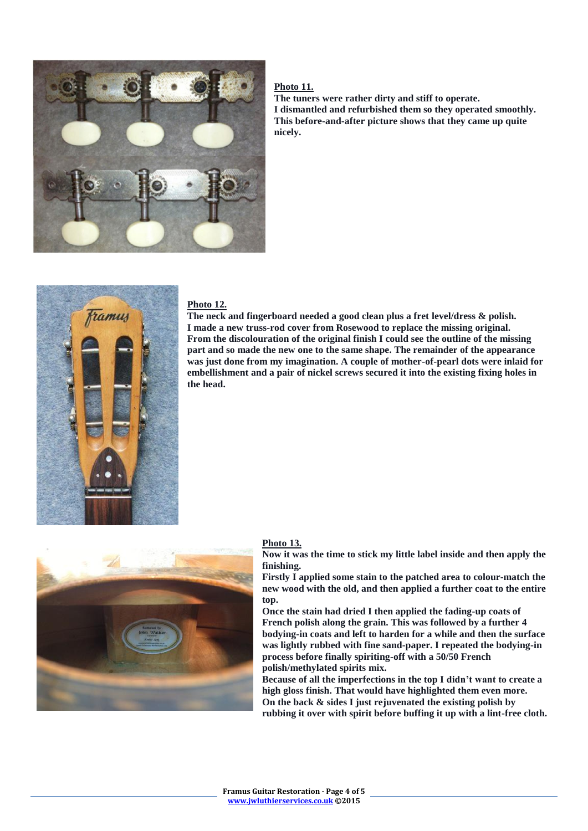

#### **Photo 11.**

**The tuners were rather dirty and stiff to operate. I dismantled and refurbished them so they operated smoothly. This before-and-after picture shows that they came up quite nicely.**



## **Photo 12.**

**The neck and fingerboard needed a good clean plus a fret level/dress & polish. I made a new truss-rod cover from Rosewood to replace the missing original. From the discolouration of the original finish I could see the outline of the missing part and so made the new one to the same shape. The remainder of the appearance was just done from my imagination. A couple of mother-of-pearl dots were inlaid for embellishment and a pair of nickel screws secured it into the existing fixing holes in the head.** 



#### **Photo 13.**

**Now it was the time to stick my little label inside and then apply the finishing.**

**Firstly I applied some stain to the patched area to colour-match the new wood with the old, and then applied a further coat to the entire top.**

**Once the stain had dried I then applied the fading-up coats of French polish along the grain. This was followed by a further 4 bodying-in coats and left to harden for a while and then the surface was lightly rubbed with fine sand-paper. I repeated the bodying-in process before finally spiriting-off with a 50/50 French polish/methylated spirits mix.**

**Because of all the imperfections in the top I didn't want to create a high gloss finish. That would have highlighted them even more. On the back & sides I just rejuvenated the existing polish by rubbing it over with spirit before buffing it up with a lint-free cloth.**